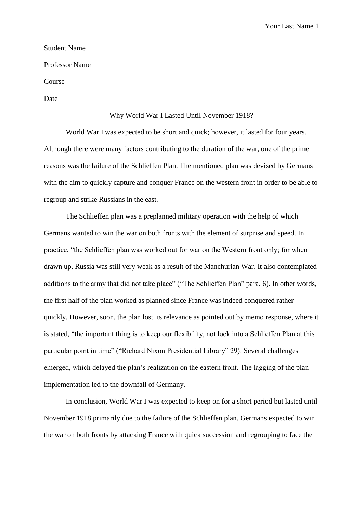Your Last Name 1

## Student Name

Professor Name

Course

Date

## Why World War I Lasted Until November 1918?

World War I was expected to be short and quick; however, it lasted for four years. Although there were many factors contributing to the duration of the war, one of the prime reasons was the failure of the Schlieffen Plan. The mentioned plan was devised by Germans with the aim to quickly capture and conquer France on the western front in order to be able to regroup and strike Russians in the east.

The Schlieffen plan was a preplanned military operation with the help of which Germans wanted to win the war on both fronts with the element of surprise and speed. In practice, "the Schlieffen plan was worked out for war on the Western front only; for when drawn up, Russia was still very weak as a result of the Manchurian War. It also contemplated additions to the army that did not take place" ("The Schlieffen Plan" para. 6). In other words, the first half of the plan worked as planned since France was indeed conquered rather quickly. However, soon, the plan lost its relevance as pointed out by memo response, where it is stated, "the important thing is to keep our flexibility, not lock into a Schlieffen Plan at this particular point in time" ("Richard Nixon Presidential Library" 29). Several challenges emerged, which delayed the plan's realization on the eastern front. The lagging of the plan implementation led to the downfall of Germany.

In conclusion, World War I was expected to keep on for a short period but lasted until November 1918 primarily due to the failure of the Schlieffen plan. Germans expected to win the war on both fronts by attacking France with quick succession and regrouping to face the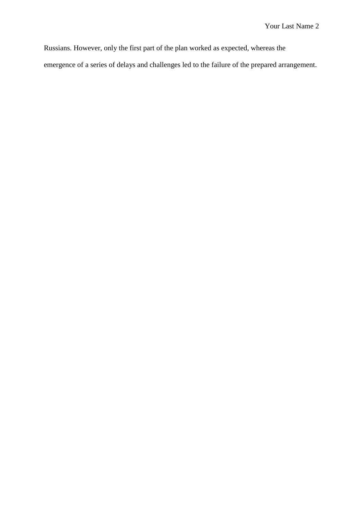Russians. However, only the first part of the plan worked as expected, whereas the emergence of a series of delays and challenges led to the failure of the prepared arrangement.